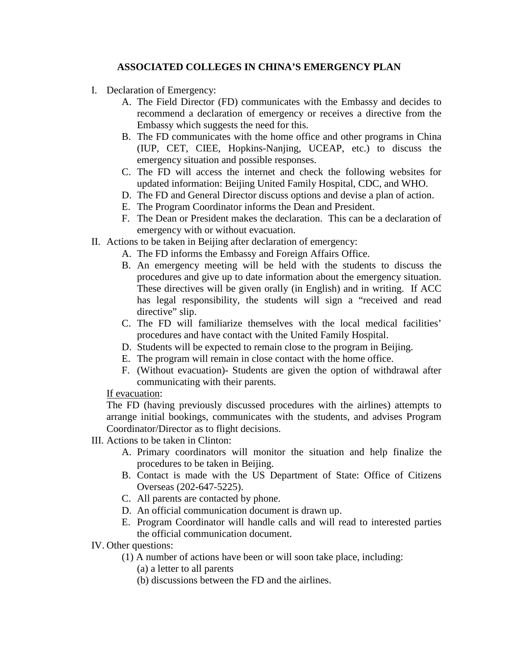## **ASSOCIATED COLLEGES IN CHINA'S EMERGENCY PLAN**

- I. Declaration of Emergency:
	- A. The Field Director (FD) communicates with the Embassy and decides to recommend a declaration of emergency or receives a directive from the Embassy which suggests the need for this.
	- B. The FD communicates with the home office and other programs in China (IUP, CET, CIEE, Hopkins-Nanjing, UCEAP, etc.) to discuss the emergency situation and possible responses.
	- C. The FD will access the internet and check the following websites for updated information: Beijing United Family Hospital, CDC, and WHO.
	- D. The FD and General Director discuss options and devise a plan of action.
	- E. The Program Coordinator informs the Dean and President.
	- F. The Dean or President makes the declaration. This can be a declaration of emergency with or without evacuation.
- II. Actions to be taken in Beijing after declaration of emergency:
	- A. The FD informs the Embassy and Foreign Affairs Office.
	- B. An emergency meeting will be held with the students to discuss the procedures and give up to date information about the emergency situation. These directives will be given orally (in English) and in writing. If ACC has legal responsibility, the students will sign a "received and read directive" slip.
	- C. The FD will familiarize themselves with the local medical facilities' procedures and have contact with the United Family Hospital.
	- D. Students will be expected to remain close to the program in Beijing.
	- E. The program will remain in close contact with the home office.
	- F. (Without evacuation)- Students are given the option of withdrawal after communicating with their parents.

## If evacuation:

The FD (having previously discussed procedures with the airlines) attempts to arrange initial bookings, communicates with the students, and advises Program Coordinator/Director as to flight decisions.

- III. Actions to be taken in Clinton:
	- A. Primary coordinators will monitor the situation and help finalize the procedures to be taken in Beijing.
	- B. Contact is made with the US Department of State: Office of Citizens Overseas (202-647-5225).
	- C. All parents are contacted by phone.
	- D. An official communication document is drawn up.
	- E. Program Coordinator will handle calls and will read to interested parties the official communication document.
- IV. Other questions:
	- (1) A number of actions have been or will soon take place, including:
		- (a) a letter to all parents
		- (b) discussions between the FD and the airlines.